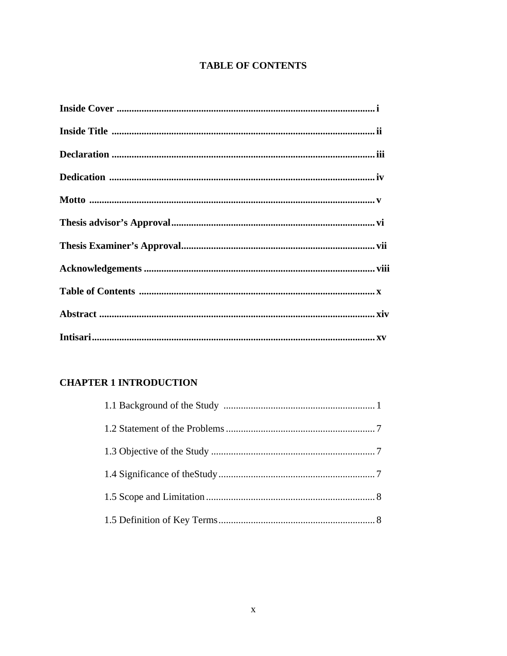# **TABLE OF CONTENTS**

## **CHAPTER 1 INTRODUCTION**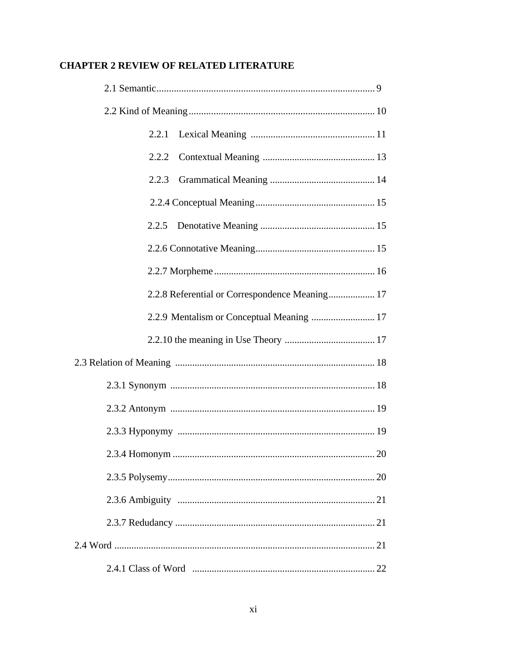# **CHAPTER 2 REVIEW OF RELATED LITERATURE**

|  | 2.2.1 |                                                |
|--|-------|------------------------------------------------|
|  | 2.2.2 |                                                |
|  | 2.2.3 |                                                |
|  |       |                                                |
|  |       |                                                |
|  |       |                                                |
|  |       |                                                |
|  |       | 2.2.8 Referential or Correspondence Meaning 17 |
|  |       | 2.2.9 Mentalism or Conceptual Meaning  17      |
|  |       |                                                |
|  |       |                                                |
|  |       |                                                |
|  |       |                                                |
|  |       |                                                |
|  |       |                                                |
|  |       |                                                |
|  |       |                                                |
|  |       |                                                |
|  |       |                                                |
|  |       |                                                |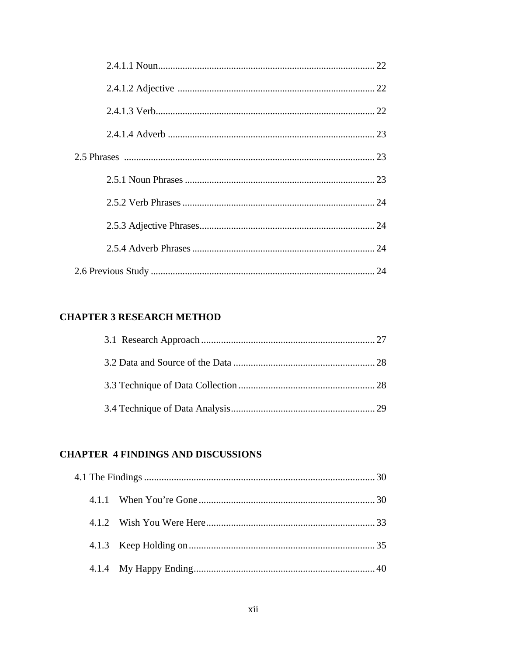### **CHAPTER 3 RESEARCH METHOD**

#### **CHAPTER 4 FINDINGS AND DISCUSSIONS**